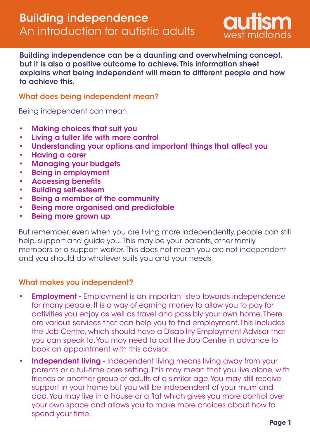

Building independence can be a daunting and overwhelming concept, but it is also a positive outcome to achieve. This information sheet explains what being independent will mean to different people and how to achieve this.

# What does being independent mean?

Being independent can mean:

- Making choices that suit you •
- Living a fuller life with more control •
- Understanding your options and important things that affect you •
- Having a carer •
- Managing your budgets •
- Being in employment •
- Accessing benefits •
- Building self-esteem  $\bullet$
- Being a member of the community •
- Being more organised and predictable •
- Being more grown up •

But remember, even when you are living more independently, people can still help, support and guide you. This may be your parents, other family members or a support worker. This does not mean you are not independent and you should do whatever suits you and your needs.

# What makes you independent?

- Employment Employment is an important step towards independence for many people. It is a way of earning money to allow you to pay for activities you enjoy as well as travel and possibly your own home. There are various services that can help you to find employment. This includes the Job Centre, which should have a Disability Employment Advisor that you can speak to. You may need to call the Job Centre in advance to book an appointment with this advisor. •
- Independent living Independent living means living away from your parents or a full-time care setting. This may mean that you live alone, with friends or another group of adults of a similar age. You may still receive support in your home but you will be independent of your mum and dad. You may live in a house or a flat which gives you more control over your own space and allows you to make more choices about how to spend your time.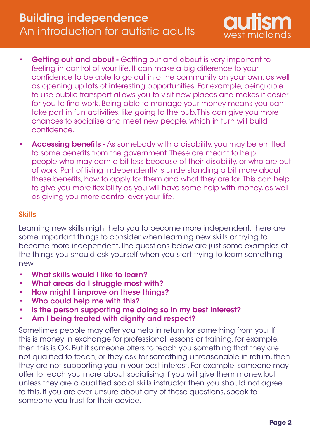

- **Getting out and about -** Getting out and about is very important to feeling in control of your life. It can make a big difference to your confidence to be able to go out into the community on your own, as well as opening up lots of interesting opportunities. For example, being able to use public transport allows you to visit new places and makes it easier for you to find work. Being able to manage your money means you can take part in fun activities, like going to the pub. This can give you more chances to socialise and meet new people, which in turn will build confidence. •
- Accessing benefits As somebody with a disability, you may be entitled to some benefits from the government. These are meant to help people who may earn a bit less because of their disability, or who are out of work. Part of living independently is understanding a bit more about these benefits, how to apply for them and what they are for. This can help to give you more flexibility as you will have some help with money, as well as giving you more control over your life.

#### Skills

Learning new skills might help you to become more independent, there are some important things to consider when learning new skills or trying to become more independent. The questions below are just some examples of the things you should ask yourself when you start trying to learn something new.

- What skills would I like to learn? •
- What areas do I struggle most with? •
- How might I improve on these things? •
- Who could help me with this? •
- Is the person supporting me doing so in my best interest? •
- Am I being treated with dignity and respect? •

Sometimes people may offer you help in return for something from you. If this is money in exchange for professional lessons or training, for example, then this is OK. But if someone offers to teach you something that they are not qualified to teach, or they ask for something unreasonable in return, then they are not supporting you in your best interest. For example, someone may offer to teach you more about socialising if you will give them money, but unless they are a qualified social skills instructor then you should not agree to this. If you are ever unsure about any of these questions, speak to someone you trust for their advice.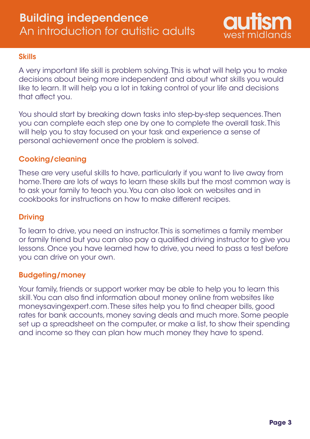

#### Skills

A very important life skill is problem solving. This is what will help you to make decisions about being more independent and about what skills you would like to learn. It will help you a lot in taking control of your life and decisions that affect you.

You should start by breaking down tasks into step-by-step sequences. Then you can complete each step one by one to complete the overall task. This will help you to stay focused on your task and experience a sense of personal achievement once the problem is solved.

# Cooking/cleaning

These are very useful skills to have, particularly if you want to live away from home. There are lots of ways to learn these skills but the most common way is to ask your family to teach you. You can also look on websites and in cookbooks for instructions on how to make different recipes.

#### Driving

To learn to drive, you need an instructor. This is sometimes a family member or family friend but you can also pay a qualified driving instructor to give you lessons. Once you have learned how to drive, you need to pass a test before you can drive on your own.

# Budgeting/money

Your family, friends or support worker may be able to help you to learn this skill. You can also find information about money online from websites like moneysavingexpert.com. These sites help you to find cheaper bills, good rates for bank accounts, money saving deals and much more. Some people set up a spreadsheet on the computer, or make a list, to show their spending and income so they can plan how much money they have to spend.